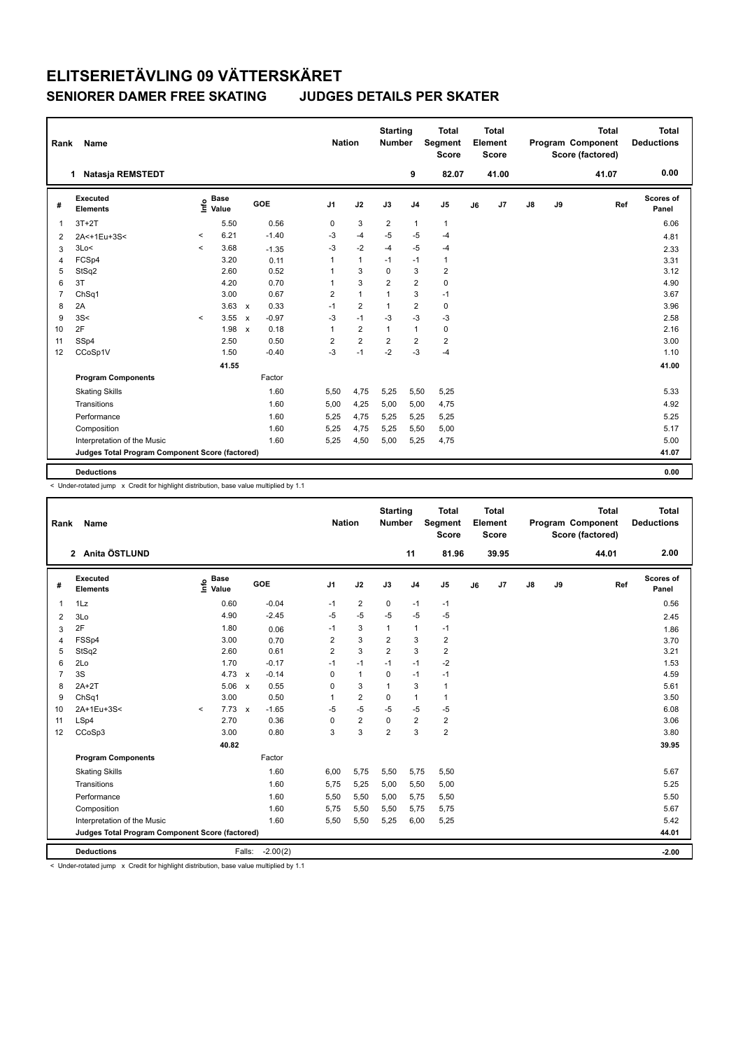| Rank           | Name                                            |         |                      |                           |         |                | <b>Nation</b> |                | <b>Starting</b><br><b>Number</b> |                | <b>Total</b><br>Segment<br><b>Score</b> |    | <b>Total</b><br>Element<br><b>Score</b> |               |    | <b>Total</b><br><b>Program Component</b><br>Score (factored) |     | <b>Total</b><br><b>Deductions</b> |
|----------------|-------------------------------------------------|---------|----------------------|---------------------------|---------|----------------|---------------|----------------|----------------------------------|----------------|-----------------------------------------|----|-----------------------------------------|---------------|----|--------------------------------------------------------------|-----|-----------------------------------|
|                | <b>Natasia REMSTEDT</b><br>1                    |         |                      |                           |         |                |               |                |                                  | 9              | 82.07                                   |    | 41.00                                   |               |    | 41.07                                                        |     | 0.00                              |
| #              | Executed<br><b>Elements</b>                     | lnfo    | <b>Base</b><br>Value |                           | GOE     | J <sub>1</sub> |               | J2             | J3                               | J <sub>4</sub> | J5                                      | J6 | J7                                      | $\mathsf{J}8$ | J9 |                                                              | Ref | Scores of<br>Panel                |
| $\overline{1}$ | $3T+2T$                                         |         | 5.50                 |                           | 0.56    | 0              |               | 3              | $\overline{2}$                   | $\mathbf{1}$   | $\mathbf{1}$                            |    |                                         |               |    |                                                              |     | 6.06                              |
| $\overline{2}$ | 2A<+1Eu+3S<                                     | $\,<\,$ | 6.21                 |                           | $-1.40$ | $-3$           |               | $-4$           | $-5$                             | $-5$           | $-4$                                    |    |                                         |               |    |                                                              |     | 4.81                              |
| 3              | 3Lo<                                            | $\,<\,$ | 3.68                 |                           | $-1.35$ | $-3$           |               | $-2$           | $-4$                             | $-5$           | $-4$                                    |    |                                         |               |    |                                                              |     | 2.33                              |
| $\overline{4}$ | FCSp4                                           |         | 3.20                 |                           | 0.11    | 1              |               | $\mathbf{1}$   | $-1$                             | $-1$           | $\mathbf{1}$                            |    |                                         |               |    |                                                              |     | 3.31                              |
| 5              | StSq2                                           |         | 2.60                 |                           | 0.52    | 1              |               | 3              | $\mathbf 0$                      | $\mathbf{3}$   | $\overline{2}$                          |    |                                         |               |    |                                                              |     | 3.12                              |
| 6              | 3T                                              |         | 4.20                 |                           | 0.70    | 1              |               | 3              | $\overline{2}$                   | $\overline{2}$ | $\pmb{0}$                               |    |                                         |               |    |                                                              |     | 4.90                              |
| $\overline{7}$ | ChSq1                                           |         | 3.00                 |                           | 0.67    | $\overline{2}$ |               | $\overline{1}$ | $\mathbf 1$                      | 3              | $-1$                                    |    |                                         |               |    |                                                              |     | 3.67                              |
| 8              | 2A                                              |         | 3.63                 | $\mathsf{x}$              | 0.33    | $-1$           |               | $\overline{2}$ | $\mathbf 1$                      | $\overline{2}$ | $\pmb{0}$                               |    |                                         |               |    |                                                              |     | 3.96                              |
| 9              | 3S<                                             | $\prec$ | 3.55                 | $\mathsf{x}$              | $-0.97$ | $-3$           |               | $-1$           | $-3$                             | $-3$           | $-3$                                    |    |                                         |               |    |                                                              |     | 2.58                              |
| 10             | 2F                                              |         | 1.98                 | $\boldsymbol{\mathsf{x}}$ | 0.18    | 1              |               | $\overline{2}$ | $\mathbf{1}$                     | $\mathbf{1}$   | $\pmb{0}$                               |    |                                         |               |    |                                                              |     | 2.16                              |
| 11             | SSp4                                            |         | 2.50                 |                           | 0.50    | $\overline{2}$ |               | $\overline{2}$ | $\overline{2}$                   | $\overline{2}$ | $\overline{2}$                          |    |                                         |               |    |                                                              |     | 3.00                              |
| 12             | CCoSp1V                                         |         | 1.50                 |                           | $-0.40$ | $-3$           |               | $-1$           | $-2$                             | $-3$           | $-4$                                    |    |                                         |               |    |                                                              |     | 1.10                              |
|                |                                                 |         | 41.55                |                           |         |                |               |                |                                  |                |                                         |    |                                         |               |    |                                                              |     | 41.00                             |
|                | <b>Program Components</b>                       |         |                      |                           | Factor  |                |               |                |                                  |                |                                         |    |                                         |               |    |                                                              |     |                                   |
|                | <b>Skating Skills</b>                           |         |                      |                           | 1.60    | 5,50           |               | 4,75           | 5,25                             | 5,50           | 5,25                                    |    |                                         |               |    |                                                              |     | 5.33                              |
|                | Transitions                                     |         |                      |                           | 1.60    | 5,00           |               | 4,25           | 5,00                             | 5,00           | 4,75                                    |    |                                         |               |    |                                                              |     | 4.92                              |
|                | Performance                                     |         |                      |                           | 1.60    | 5,25           |               | 4,75           | 5,25                             | 5,25           | 5,25                                    |    |                                         |               |    |                                                              |     | 5.25                              |
|                | Composition                                     |         |                      |                           | 1.60    | 5,25           |               | 4,75           | 5,25                             | 5,50           | 5,00                                    |    |                                         |               |    |                                                              |     | 5.17                              |
|                | Interpretation of the Music                     |         |                      |                           | 1.60    | 5,25           |               | 4,50           | 5,00                             | 5,25           | 4,75                                    |    |                                         |               |    |                                                              |     | 5.00                              |
|                | Judges Total Program Component Score (factored) |         |                      |                           |         |                |               |                |                                  |                |                                         |    |                                         |               |    |                                                              |     | 41.07                             |
|                |                                                 |         |                      |                           |         |                |               |                |                                  |                |                                         |    |                                         |               |    |                                                              |     |                                   |
|                | <b>Deductions</b>                               |         |                      |                           |         |                |               |                |                                  |                |                                         |    |                                         |               |    |                                                              |     | 0.00                              |

< Under-rotated jump x Credit for highlight distribution, base value multiplied by 1.1

| Rank              | Name                                            |                     |               |              |            |                | <b>Nation</b>  | <b>Starting</b><br><b>Number</b> |                | <b>Total</b><br>Segment<br><b>Score</b> |    | <b>Total</b><br>Element<br><b>Score</b> |               |    | <b>Total</b><br>Program Component<br>Score (factored) | <b>Total</b><br><b>Deductions</b> |
|-------------------|-------------------------------------------------|---------------------|---------------|--------------|------------|----------------|----------------|----------------------------------|----------------|-----------------------------------------|----|-----------------------------------------|---------------|----|-------------------------------------------------------|-----------------------------------|
|                   | 2 Anita ÖSTLUND                                 |                     |               |              |            |                |                |                                  | 11             | 81.96                                   |    | 39.95                                   |               |    | 44.01                                                 | 2.00                              |
| #                 | Executed<br><b>Elements</b>                     | $\frac{6}{5}$ Value | <b>Base</b>   | GOE          |            | J <sub>1</sub> | J2             | J3                               | J <sub>4</sub> | J <sub>5</sub>                          | J6 | J7                                      | $\mathsf{J}8$ | J9 | Ref                                                   | <b>Scores of</b><br>Panel         |
| 1                 | 1Lz                                             |                     | 0.60          |              | $-0.04$    | $-1$           | $\overline{2}$ | 0                                | $-1$           | $-1$                                    |    |                                         |               |    |                                                       | 0.56                              |
| 2                 | 3Lo                                             |                     | 4.90          |              | $-2.45$    | -5             | $-5$           | $-5$                             | $-5$           | $-5$                                    |    |                                         |               |    |                                                       | 2.45                              |
| 3                 | 2F                                              |                     | 1.80          |              | 0.06       | $-1$           | 3              | $\mathbf{1}$                     | $\mathbf{1}$   | $-1$                                    |    |                                         |               |    |                                                       | 1.86                              |
| 4                 | FSSp4                                           |                     | 3.00          |              | 0.70       | 2              | 3              | $\overline{\mathbf{c}}$          | 3              | $\overline{2}$                          |    |                                         |               |    |                                                       | 3.70                              |
| 5                 | StSq2                                           |                     | 2.60          |              | 0.61       | 2              | 3              | $\overline{2}$                   | 3              | $\overline{2}$                          |    |                                         |               |    |                                                       | 3.21                              |
| 6                 | 2Lo                                             |                     | 1.70          |              | $-0.17$    | $-1$           | $-1$           | $-1$                             | $-1$           | $-2$                                    |    |                                         |               |    |                                                       | 1.53                              |
| $\overline{7}$    | 3S                                              |                     | 4.73          | $\mathbf{x}$ | $-0.14$    | $\mathbf 0$    | $\mathbf{1}$   | $\mathbf 0$                      | $-1$           | $-1$                                    |    |                                         |               |    |                                                       | 4.59                              |
| 8                 | $2A+2T$                                         |                     | 5.06          | $\mathsf{x}$ | 0.55       | $\mathbf 0$    | 3              | $\mathbf{1}$                     | 3              | $\mathbf{1}$                            |    |                                         |               |    |                                                       | 5.61                              |
| 9                 | ChSq1                                           |                     | 3.00          |              | 0.50       | 1              | $\overline{2}$ | 0                                | $\mathbf{1}$   | $\mathbf{1}$                            |    |                                         |               |    |                                                       | 3.50                              |
| 10                | 2A+1Eu+3S<                                      | $\prec$             | $7.73 \times$ |              | $-1.65$    | $-5$           | $-5$           | $-5$                             | $-5$           | $-5$                                    |    |                                         |               |    |                                                       | 6.08                              |
| 11                | LSp4                                            |                     | 2.70          |              | 0.36       | 0              | $\overline{2}$ | 0                                | $\overline{2}$ | $\overline{2}$                          |    |                                         |               |    |                                                       | 3.06                              |
| $12 \overline{ }$ | CCoSp3                                          |                     | 3.00          |              | 0.80       | 3              | 3              | $\overline{2}$                   | 3              | $\overline{2}$                          |    |                                         |               |    |                                                       | 3.80                              |
|                   |                                                 |                     | 40.82         |              |            |                |                |                                  |                |                                         |    |                                         |               |    |                                                       | 39.95                             |
|                   | <b>Program Components</b>                       |                     |               |              | Factor     |                |                |                                  |                |                                         |    |                                         |               |    |                                                       |                                   |
|                   | <b>Skating Skills</b>                           |                     |               |              | 1.60       | 6,00           | 5,75           | 5,50                             | 5,75           | 5,50                                    |    |                                         |               |    |                                                       | 5.67                              |
|                   | Transitions                                     |                     |               |              | 1.60       | 5,75           | 5,25           | 5,00                             | 5,50           | 5,00                                    |    |                                         |               |    |                                                       | 5.25                              |
|                   | Performance                                     |                     |               |              | 1.60       | 5,50           | 5,50           | 5,00                             | 5,75           | 5,50                                    |    |                                         |               |    |                                                       | 5.50                              |
|                   | Composition                                     |                     |               |              | 1.60       | 5,75           | 5,50           | 5,50                             | 5,75           | 5,75                                    |    |                                         |               |    |                                                       | 5.67                              |
|                   | Interpretation of the Music                     |                     |               |              | 1.60       | 5,50           | 5,50           | 5,25                             | 6,00           | 5,25                                    |    |                                         |               |    |                                                       | 5.42                              |
|                   | Judges Total Program Component Score (factored) |                     |               |              |            |                |                |                                  |                |                                         |    |                                         |               |    |                                                       | 44.01                             |
|                   | <b>Deductions</b>                               |                     |               | Falls:       | $-2.00(2)$ |                |                |                                  |                |                                         |    |                                         |               |    |                                                       | $-2.00$                           |

< Under-rotated jump x Credit for highlight distribution, base value multiplied by 1.1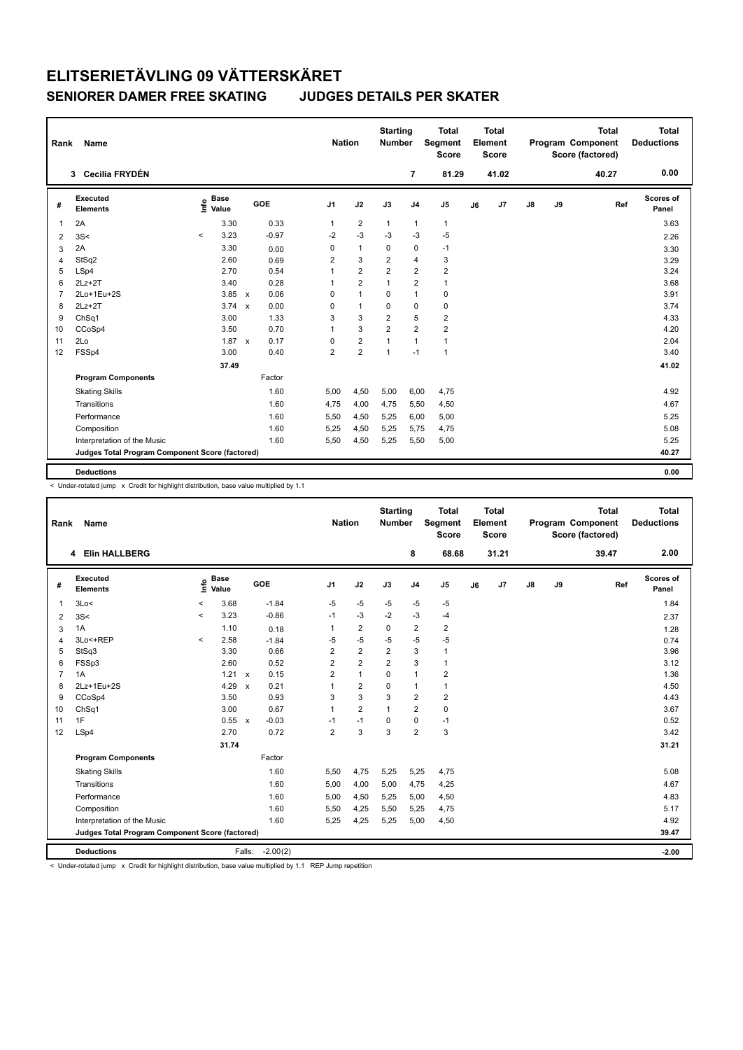| Rank           | <b>Name</b>                                     |                              |               |                      |                | <b>Nation</b>  | <b>Starting</b><br>Number |                | <b>Total</b><br>Segment<br><b>Score</b> |    | <b>Total</b><br>Element<br><b>Score</b> |               |    | <b>Total</b><br>Program Component<br>Score (factored) | <b>Total</b><br><b>Deductions</b> |
|----------------|-------------------------------------------------|------------------------------|---------------|----------------------|----------------|----------------|---------------------------|----------------|-----------------------------------------|----|-----------------------------------------|---------------|----|-------------------------------------------------------|-----------------------------------|
|                | Cecilia FRYDÉN<br>3                             |                              |               |                      |                |                |                           | $\overline{7}$ | 81.29                                   |    | 41.02                                   |               |    | 40.27                                                 | 0.00                              |
| #              | Executed<br><b>Elements</b>                     | <b>Base</b><br>Info<br>Value |               | GOE                  | J <sub>1</sub> | J2             | J3                        | J <sub>4</sub> | J5                                      | J6 | J7                                      | $\mathsf{J}8$ | J9 | Ref                                                   | Scores of<br>Panel                |
| $\overline{1}$ | 2A                                              |                              | 3.30          | 0.33                 | $\mathbf{1}$   | $\overline{2}$ | $\mathbf{1}$              | $\mathbf{1}$   | $\mathbf{1}$                            |    |                                         |               |    |                                                       | 3.63                              |
| $\overline{2}$ | 3S<                                             | $\prec$                      | 3.23          | $-0.97$              | $-2$           | $-3$           | -3                        | $-3$           | $-5$                                    |    |                                         |               |    |                                                       | 2.26                              |
| 3              | 2A                                              |                              | 3.30          | 0.00                 | 0              | $\mathbf{1}$   | $\Omega$                  | $\mathbf 0$    | $-1$                                    |    |                                         |               |    |                                                       | 3.30                              |
| 4              | StSq2                                           |                              | 2.60          | 0.69                 | $\overline{2}$ | 3              | $\overline{2}$            | $\overline{4}$ | 3                                       |    |                                         |               |    |                                                       | 3.29                              |
| 5              | LSp4                                            |                              | 2.70          | 0.54                 | 1              | $\overline{2}$ | $\overline{2}$            | $\overline{2}$ | $\overline{2}$                          |    |                                         |               |    |                                                       | 3.24                              |
| 6              | $2Lz+2T$                                        |                              | 3.40          | 0.28                 | 1              | $\overline{2}$ | 1                         | $\overline{2}$ | $\mathbf{1}$                            |    |                                         |               |    |                                                       | 3.68                              |
| $\overline{7}$ | 2Lo+1Eu+2S                                      |                              | 3.85          | 0.06<br>$\mathbf{x}$ | 0              | $\overline{1}$ | $\Omega$                  | $\mathbf{1}$   | $\pmb{0}$                               |    |                                         |               |    |                                                       | 3.91                              |
| 8              | $2Lz+2T$                                        |                              | 3.74          | 0.00<br>$\mathbf{x}$ | 0              | $\mathbf{1}$   | 0                         | 0              | $\mathbf 0$                             |    |                                         |               |    |                                                       | 3.74                              |
| 9              | ChSq1                                           |                              | 3.00          | 1.33                 | 3              | 3              | $\overline{2}$            | 5              | $\overline{2}$                          |    |                                         |               |    |                                                       | 4.33                              |
| 10             | CCoSp4                                          |                              | 3.50          | 0.70                 | 1              | 3              | $\overline{2}$            | $\overline{2}$ | $\overline{2}$                          |    |                                         |               |    |                                                       | 4.20                              |
| 11             | 2Lo                                             |                              | $1.87 \times$ | 0.17                 | 0              | $\overline{2}$ | $\overline{1}$            | $\mathbf{1}$   | $\mathbf{1}$                            |    |                                         |               |    |                                                       | 2.04                              |
| 12             | FSSp4                                           |                              | 3.00          | 0.40                 | $\overline{2}$ | $\overline{2}$ | $\overline{1}$            | $-1$           | $\mathbf{1}$                            |    |                                         |               |    |                                                       | 3.40                              |
|                |                                                 |                              | 37.49         |                      |                |                |                           |                |                                         |    |                                         |               |    |                                                       | 41.02                             |
|                | <b>Program Components</b>                       |                              |               | Factor               |                |                |                           |                |                                         |    |                                         |               |    |                                                       |                                   |
|                | <b>Skating Skills</b>                           |                              |               | 1.60                 | 5.00           | 4,50           | 5,00                      | 6,00           | 4,75                                    |    |                                         |               |    |                                                       | 4.92                              |
|                | Transitions                                     |                              |               | 1.60                 | 4,75           | 4,00           | 4,75                      | 5,50           | 4,50                                    |    |                                         |               |    |                                                       | 4.67                              |
|                | Performance                                     |                              |               | 1.60                 | 5,50           | 4,50           | 5,25                      | 6,00           | 5,00                                    |    |                                         |               |    |                                                       | 5.25                              |
|                | Composition                                     |                              |               | 1.60                 | 5.25           | 4,50           | 5,25                      | 5.75           | 4,75                                    |    |                                         |               |    |                                                       | 5.08                              |
|                | Interpretation of the Music                     |                              |               | 1.60                 | 5,50           | 4,50           | 5,25                      | 5,50           | 5,00                                    |    |                                         |               |    |                                                       | 5.25                              |
|                | Judges Total Program Component Score (factored) |                              |               |                      |                |                |                           |                |                                         |    |                                         |               |    |                                                       | 40.27                             |
|                | <b>Deductions</b>                               |                              |               |                      |                |                |                           |                |                                         |    |                                         |               |    |                                                       | 0.00                              |

< Under-rotated jump x Credit for highlight distribution, base value multiplied by 1.1

| Rank           | Name                                            |          |                      |              |            | <b>Nation</b>  |                | <b>Starting</b><br><b>Number</b> |                         | <b>Total</b><br>Segment<br><b>Score</b> |    | <b>Total</b><br>Element<br><b>Score</b> |    |    | <b>Total</b><br>Program Component<br>Score (factored) | <b>Total</b><br><b>Deductions</b> |
|----------------|-------------------------------------------------|----------|----------------------|--------------|------------|----------------|----------------|----------------------------------|-------------------------|-----------------------------------------|----|-----------------------------------------|----|----|-------------------------------------------------------|-----------------------------------|
|                | <b>Elin HALLBERG</b><br>4                       |          |                      |              |            |                |                |                                  | 8                       | 68.68                                   |    | 31.21                                   |    |    | 39.47                                                 | 2.00                              |
| #              | Executed<br><b>Elements</b>                     | ١nfo     | <b>Base</b><br>Value |              | GOE        | J <sub>1</sub> | J2             | J3                               | J <sub>4</sub>          | J <sub>5</sub>                          | J6 | J7                                      | J8 | J9 | Ref                                                   | Scores of<br>Panel                |
| 1              | 3Lo<                                            | $\,<$    | 3.68                 |              | $-1.84$    | -5             | $-5$           | $-5$                             | $-5$                    | -5                                      |    |                                         |    |    |                                                       | 1.84                              |
| 2              | 3S<                                             | $\hat{}$ | 3.23                 |              | $-0.86$    | $-1$           | $-3$           | $-2$                             | $-3$                    | $-4$                                    |    |                                         |    |    |                                                       | 2.37                              |
| 3              | 1A                                              |          | 1.10                 |              | 0.18       | 1              | $\overline{2}$ | $\mathbf 0$                      | 2                       | $\overline{2}$                          |    |                                         |    |    |                                                       | 1.28                              |
| 4              | 3Lo<+REP                                        | $\prec$  | 2.58                 |              | $-1.84$    | -5             | $-5$           | $-5$                             | $-5$                    | $-5$                                    |    |                                         |    |    |                                                       | 0.74                              |
| 5              | StSq3                                           |          | 3.30                 |              | 0.66       | $\overline{2}$ | $\overline{2}$ | $\overline{2}$                   | 3                       | $\mathbf{1}$                            |    |                                         |    |    |                                                       | 3.96                              |
| 6              | FSSp3                                           |          | 2.60                 |              | 0.52       | $\overline{2}$ | $\overline{2}$ | $\overline{2}$                   | 3                       | $\mathbf{1}$                            |    |                                         |    |    |                                                       | 3.12                              |
| $\overline{7}$ | 1A                                              |          | $1.21 \times$        |              | 0.15       | $\overline{2}$ | $\overline{1}$ | 0                                | $\overline{1}$          | $\overline{2}$                          |    |                                         |    |    |                                                       | 1.36                              |
| 8              | 2Lz+1Eu+2S                                      |          | 4.29                 | $\mathsf{x}$ | 0.21       | 1              | $\overline{2}$ | $\mathbf 0$                      | $\mathbf{1}$            | $\mathbf{1}$                            |    |                                         |    |    |                                                       | 4.50                              |
| 9              | CCoSp4                                          |          | 3.50                 |              | 0.93       | 3              | 3              | 3                                | $\overline{\mathbf{c}}$ | $\overline{2}$                          |    |                                         |    |    |                                                       | 4.43                              |
| 10             | ChSq1                                           |          | 3.00                 |              | 0.67       | $\overline{1}$ | $\overline{2}$ | 1                                | $\overline{2}$          | $\mathbf 0$                             |    |                                         |    |    |                                                       | 3.67                              |
| 11             | 1F                                              |          | 0.55                 | $\mathsf{x}$ | $-0.03$    | -1             | $-1$           | $\mathbf 0$                      | $\mathbf 0$             | $-1$                                    |    |                                         |    |    |                                                       | 0.52                              |
| 12             | LSp4                                            |          | 2.70                 |              | 0.72       | $\overline{2}$ | $\overline{3}$ | 3                                | $\overline{2}$          | 3                                       |    |                                         |    |    |                                                       | 3.42                              |
|                |                                                 |          | 31.74                |              |            |                |                |                                  |                         |                                         |    |                                         |    |    |                                                       | 31.21                             |
|                | <b>Program Components</b>                       |          |                      |              | Factor     |                |                |                                  |                         |                                         |    |                                         |    |    |                                                       |                                   |
|                | <b>Skating Skills</b>                           |          |                      |              | 1.60       | 5,50           | 4,75           | 5,25                             | 5,25                    | 4,75                                    |    |                                         |    |    |                                                       | 5.08                              |
|                | Transitions                                     |          |                      |              | 1.60       | 5,00           | 4,00           | 5,00                             | 4,75                    | 4,25                                    |    |                                         |    |    |                                                       | 4.67                              |
|                | Performance                                     |          |                      |              | 1.60       | 5,00           | 4,50           | 5,25                             | 5,00                    | 4,50                                    |    |                                         |    |    |                                                       | 4.83                              |
|                | Composition                                     |          |                      |              | 1.60       | 5,50           | 4,25           | 5,50                             | 5,25                    | 4,75                                    |    |                                         |    |    |                                                       | 5.17                              |
|                | Interpretation of the Music                     |          |                      |              | 1.60       | 5,25           | 4,25           | 5,25                             | 5,00                    | 4,50                                    |    |                                         |    |    |                                                       | 4.92                              |
|                | Judges Total Program Component Score (factored) |          |                      |              |            |                |                |                                  |                         |                                         |    |                                         |    |    |                                                       | 39.47                             |
|                | <b>Deductions</b>                               |          |                      | Falls:       | $-2.00(2)$ |                |                |                                  |                         |                                         |    |                                         |    |    |                                                       | $-2.00$                           |

< Under-rotated jump x Credit for highlight distribution, base value multiplied by 1.1 REP Jump repetition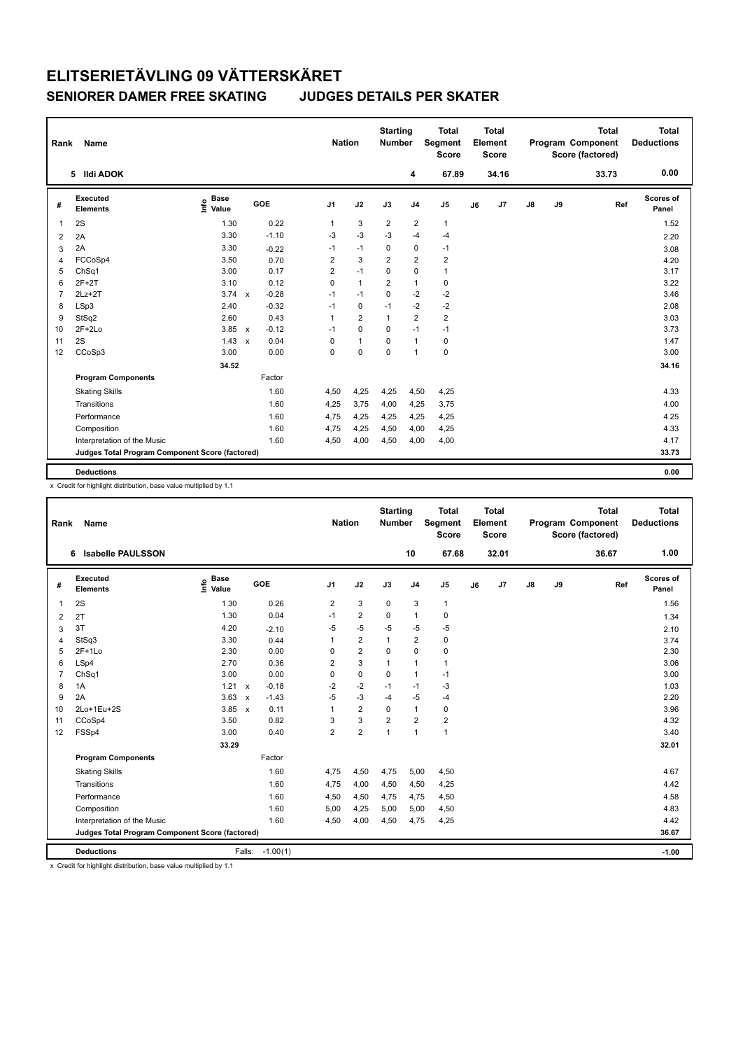| Rank           | <b>Name</b>                                     |                                  |              |         | <b>Nation</b>  |                | <b>Starting</b><br>Number |                | <b>Total</b><br>Segment<br><b>Score</b> |    | <b>Total</b><br>Element<br><b>Score</b> |               |    | <b>Total</b><br>Program Component<br>Score (factored) | <b>Total</b><br><b>Deductions</b> |
|----------------|-------------------------------------------------|----------------------------------|--------------|---------|----------------|----------------|---------------------------|----------------|-----------------------------------------|----|-----------------------------------------|---------------|----|-------------------------------------------------------|-----------------------------------|
|                | 5 Ildi ADOK                                     |                                  |              |         |                |                |                           | 4              | 67.89                                   |    | 34.16                                   |               |    | 33.73                                                 | 0.00                              |
| #              | Executed<br><b>Elements</b>                     | <b>Base</b><br>e Base<br>E Value | GOE          |         | J <sub>1</sub> | J2             | J3                        | J <sub>4</sub> | J5                                      | J6 | J7                                      | $\mathsf{J}8$ | J9 | Ref                                                   | Scores of<br>Panel                |
| $\overline{1}$ | 2S                                              | 1.30                             |              | 0.22    | $\mathbf{1}$   | 3              | $\overline{2}$            | $\overline{2}$ | $\mathbf{1}$                            |    |                                         |               |    |                                                       | 1.52                              |
| 2              | 2A                                              | 3.30                             |              | $-1.10$ | $-3$           | $-3$           | $-3$                      | $-4$           | $-4$                                    |    |                                         |               |    |                                                       | 2.20                              |
| 3              | 2A                                              | 3.30                             |              | $-0.22$ | $-1$           | $-1$           | 0                         | $\mathbf 0$    | $-1$                                    |    |                                         |               |    |                                                       | 3.08                              |
| $\overline{4}$ | FCCoSp4                                         | 3.50                             |              | 0.70    | $\overline{2}$ | 3              | $\overline{2}$            | $\overline{2}$ | $\overline{2}$                          |    |                                         |               |    |                                                       | 4.20                              |
| 5              | ChSq1                                           | 3.00                             |              | 0.17    | 2              | $-1$           | $\mathbf 0$               | $\mathbf 0$    | $\mathbf{1}$                            |    |                                         |               |    |                                                       | 3.17                              |
| 6              | $2F+2T$                                         | 3.10                             |              | 0.12    | $\Omega$       | $\mathbf{1}$   | $\overline{2}$            | $\mathbf{1}$   | $\pmb{0}$                               |    |                                         |               |    |                                                       | 3.22                              |
| $\overline{7}$ | $2Lz+2T$                                        | 3.74                             | $\mathsf{x}$ | $-0.28$ | $-1$           | $-1$           | $\Omega$                  | $-2$           | $-2$                                    |    |                                         |               |    |                                                       | 3.46                              |
| 8              | LSp3                                            | 2.40                             |              | $-0.32$ | $-1$           | $\mathbf 0$    | $-1$                      | $-2$           | $-2$                                    |    |                                         |               |    |                                                       | 2.08                              |
| 9              | StSq2                                           | 2.60                             |              | 0.43    | 1              | $\overline{2}$ | $\mathbf{1}$              | $\overline{2}$ | $\overline{2}$                          |    |                                         |               |    |                                                       | 3.03                              |
| 10             | $2F+2Lo$                                        | 3.85                             | $\mathsf{x}$ | $-0.12$ | $-1$           | $\mathbf 0$    | $\mathbf 0$               | $-1$           | $-1$                                    |    |                                         |               |    |                                                       | 3.73                              |
| 11             | 2S                                              | 1.43                             | $\mathbf{x}$ | 0.04    | 0              | $\mathbf{1}$   | $\Omega$                  | $\mathbf{1}$   | $\mathbf 0$                             |    |                                         |               |    |                                                       | 1.47                              |
| 12             | CCoSp3                                          | 3.00                             |              | 0.00    | 0              | $\mathbf 0$    | $\Omega$                  | $\mathbf{1}$   | $\mathbf 0$                             |    |                                         |               |    |                                                       | 3.00                              |
|                |                                                 | 34.52                            |              |         |                |                |                           |                |                                         |    |                                         |               |    |                                                       | 34.16                             |
|                | <b>Program Components</b>                       |                                  |              | Factor  |                |                |                           |                |                                         |    |                                         |               |    |                                                       |                                   |
|                | <b>Skating Skills</b>                           |                                  |              | 1.60    | 4,50           | 4,25           | 4,25                      | 4,50           | 4,25                                    |    |                                         |               |    |                                                       | 4.33                              |
|                | Transitions                                     |                                  |              | 1.60    | 4,25           | 3,75           | 4,00                      | 4,25           | 3,75                                    |    |                                         |               |    |                                                       | 4.00                              |
|                | Performance                                     |                                  |              | 1.60    | 4,75           | 4,25           | 4,25                      | 4,25           | 4,25                                    |    |                                         |               |    |                                                       | 4.25                              |
|                | Composition                                     |                                  |              | 1.60    | 4,75           | 4,25           | 4,50                      | 4,00           | 4,25                                    |    |                                         |               |    |                                                       | 4.33                              |
|                | Interpretation of the Music                     |                                  |              | 1.60    | 4,50           | 4,00           | 4,50                      | 4,00           | 4,00                                    |    |                                         |               |    |                                                       | 4.17                              |
|                | Judges Total Program Component Score (factored) |                                  |              |         |                |                |                           |                |                                         |    |                                         |               |    |                                                       | 33.73                             |
|                | <b>Deductions</b>                               |                                  |              |         |                |                |                           |                |                                         |    |                                         |               |    |                                                       | 0.00                              |

x Credit for highlight distribution, base value multiplied by 1.1

| Rank           | Name                                            |                                  |              |            |                | <b>Nation</b>           | <b>Starting</b><br><b>Number</b> |                | <b>Total</b><br><b>Segment</b><br><b>Score</b> |    | <b>Total</b><br>Element<br><b>Score</b> |               |    | <b>Total</b><br>Program Component<br>Score (factored) | <b>Total</b><br><b>Deductions</b> |
|----------------|-------------------------------------------------|----------------------------------|--------------|------------|----------------|-------------------------|----------------------------------|----------------|------------------------------------------------|----|-----------------------------------------|---------------|----|-------------------------------------------------------|-----------------------------------|
|                | <b>Isabelle PAULSSON</b><br>6                   |                                  |              |            |                |                         |                                  | 10             | 67.68                                          |    | 32.01                                   |               |    | 36.67                                                 | 1.00                              |
| #              | Executed<br><b>Elements</b>                     | <b>Base</b><br>e Base<br>⊆ Value | GOE          |            | J <sub>1</sub> | J2                      | J3                               | J <sub>4</sub> | J <sub>5</sub>                                 | J6 | J <sub>7</sub>                          | $\mathsf{J}8$ | J9 | Ref                                                   | Scores of<br>Panel                |
| $\mathbf{1}$   | 2S                                              | 1.30                             |              | 0.26       | 2              | 3                       | $\mathbf 0$                      | 3              | $\mathbf{1}$                                   |    |                                         |               |    |                                                       | 1.56                              |
| $\overline{2}$ | 2T                                              | 1.30                             |              | 0.04       | $-1$           | $\overline{2}$          | 0                                | $\mathbf{1}$   | $\pmb{0}$                                      |    |                                         |               |    |                                                       | 1.34                              |
| 3              | 3T                                              | 4.20                             |              | $-2.10$    | $-5$           | $-5$                    | $-5$                             | $-5$           | $-5$                                           |    |                                         |               |    |                                                       | 2.10                              |
| $\overline{4}$ | StSq3                                           | 3.30                             |              | 0.44       | 1              | $\overline{\mathbf{c}}$ | $\mathbf{1}$                     | $\overline{2}$ | $\pmb{0}$                                      |    |                                         |               |    |                                                       | 3.74                              |
| 5              | $2F+1Lo$                                        | 2.30                             |              | 0.00       | 0              | $\overline{2}$          | $\Omega$                         | $\Omega$       | 0                                              |    |                                         |               |    |                                                       | 2.30                              |
| 6              | LSp4                                            | 2.70                             |              | 0.36       | 2              | 3                       | $\overline{1}$                   | $\mathbf{1}$   | $\mathbf{1}$                                   |    |                                         |               |    |                                                       | 3.06                              |
| $\overline{7}$ | ChSq1                                           | 3.00                             |              | 0.00       | 0              | $\mathbf 0$             | $\Omega$                         | $\overline{1}$ | $-1$                                           |    |                                         |               |    |                                                       | 3.00                              |
| 8              | 1A                                              | 1.21                             | $\mathsf{x}$ | $-0.18$    | $-2$           | $-2$                    | $-1$                             | $-1$           | $-3$                                           |    |                                         |               |    |                                                       | 1.03                              |
| 9              | 2A                                              | 3.63                             | $\mathsf{x}$ | $-1.43$    | $-5$           | $-3$                    | $-4$                             | $-5$           | $-4$                                           |    |                                         |               |    |                                                       | 2.20                              |
| 10             | 2Lo+1Eu+2S                                      | 3.85                             | $\mathsf{x}$ | 0.11       | 1              | $\overline{2}$          | $\Omega$                         | $\overline{1}$ | $\mathbf 0$                                    |    |                                         |               |    |                                                       | 3.96                              |
| 11             | CCoSp4                                          | 3.50                             |              | 0.82       | 3              | 3                       | $\overline{2}$                   | $\overline{2}$ | $\overline{2}$                                 |    |                                         |               |    |                                                       | 4.32                              |
| 12             | FSSp4                                           | 3.00                             |              | 0.40       | $\overline{2}$ | $\overline{2}$          | 1                                | $\overline{1}$ | $\overline{1}$                                 |    |                                         |               |    |                                                       | 3.40                              |
|                |                                                 | 33.29                            |              |            |                |                         |                                  |                |                                                |    |                                         |               |    |                                                       | 32.01                             |
|                | <b>Program Components</b>                       |                                  |              | Factor     |                |                         |                                  |                |                                                |    |                                         |               |    |                                                       |                                   |
|                | <b>Skating Skills</b>                           |                                  |              | 1.60       | 4,75           | 4,50                    | 4,75                             | 5,00           | 4,50                                           |    |                                         |               |    |                                                       | 4.67                              |
|                | Transitions                                     |                                  |              | 1.60       | 4,75           | 4,00                    | 4,50                             | 4,50           | 4,25                                           |    |                                         |               |    |                                                       | 4.42                              |
|                | Performance                                     |                                  |              | 1.60       | 4,50           | 4,50                    | 4,75                             | 4,75           | 4,50                                           |    |                                         |               |    |                                                       | 4.58                              |
|                | Composition                                     |                                  |              | 1.60       | 5,00           | 4,25                    | 5,00                             | 5,00           | 4,50                                           |    |                                         |               |    |                                                       | 4.83                              |
|                | Interpretation of the Music                     |                                  |              | 1.60       | 4,50           | 4,00                    | 4,50                             | 4,75           | 4,25                                           |    |                                         |               |    |                                                       | 4.42                              |
|                | Judges Total Program Component Score (factored) |                                  |              |            |                |                         |                                  |                |                                                |    |                                         |               |    |                                                       | 36.67                             |
|                | <b>Deductions</b>                               |                                  | Falls:       | $-1.00(1)$ |                |                         |                                  |                |                                                |    |                                         |               |    |                                                       | $-1.00$                           |

x Credit for highlight distribution, base value multiplied by 1.1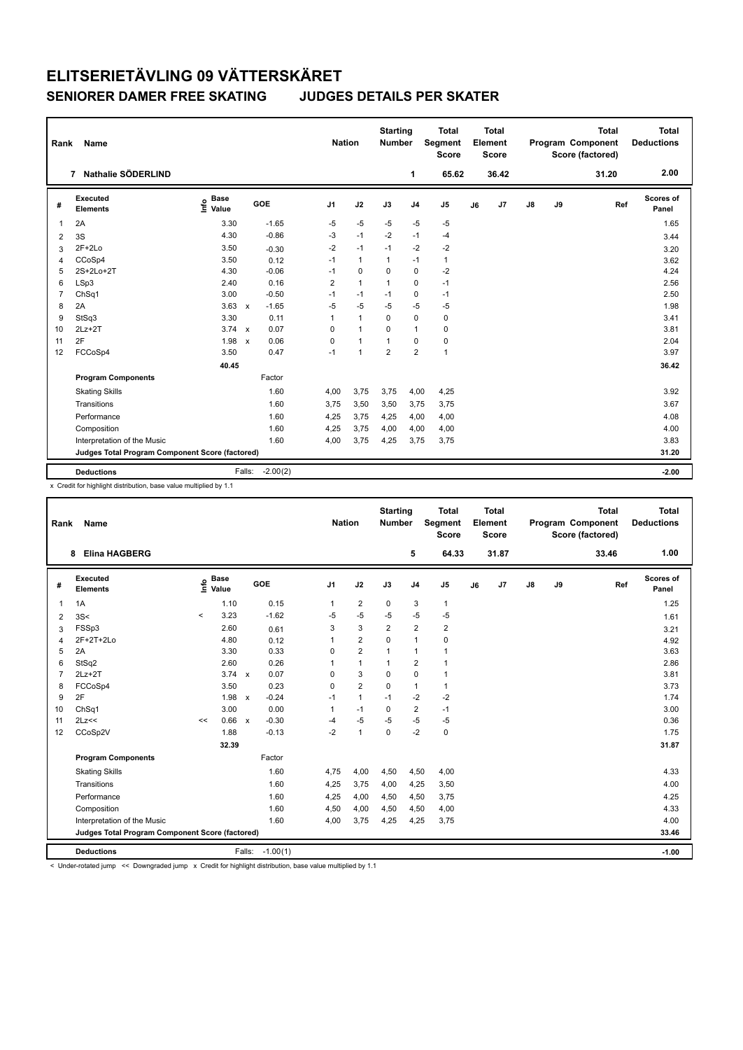| Rank           | Name                                            |                              |                                   | <b>Nation</b>  |                | <b>Starting</b><br>Number |                | <b>Total</b><br>Segment<br><b>Score</b> |    | <b>Total</b><br>Element<br><b>Score</b> |               |    | <b>Total</b><br>Program Component<br>Score (factored) | <b>Total</b><br><b>Deductions</b> |
|----------------|-------------------------------------------------|------------------------------|-----------------------------------|----------------|----------------|---------------------------|----------------|-----------------------------------------|----|-----------------------------------------|---------------|----|-------------------------------------------------------|-----------------------------------|
|                | Nathalie SÖDERLIND<br>7                         |                              |                                   |                |                |                           | 1              | 65.62                                   |    | 36.42                                   |               |    | 31.20                                                 | 2.00                              |
| #              | Executed<br><b>Elements</b>                     | <b>Base</b><br>١nf٥<br>Value | GOE                               | J <sub>1</sub> | J2             | J3                        | J <sub>4</sub> | J <sub>5</sub>                          | J6 | J <sub>7</sub>                          | $\mathsf{J}8$ | J9 | Ref                                                   | Scores of<br>Panel                |
| 1              | 2A                                              | 3.30                         | $-1.65$                           | $-5$           | $-5$           | $-5$                      | $-5$           | $-5$                                    |    |                                         |               |    |                                                       | 1.65                              |
| 2              | 3S                                              | 4.30                         | $-0.86$                           | -3             | $-1$           | $-2$                      | $-1$           | $-4$                                    |    |                                         |               |    |                                                       | 3.44                              |
| 3              | $2F+2Lo$                                        | 3.50                         | $-0.30$                           | $-2$           | $-1$           | $-1$                      | $-2$           | $-2$                                    |    |                                         |               |    |                                                       | 3.20                              |
| 4              | CCoSp4                                          | 3.50                         | 0.12                              | $-1$           | $\mathbf{1}$   | $\mathbf{1}$              | $-1$           | $\mathbf{1}$                            |    |                                         |               |    |                                                       | 3.62                              |
| 5              | 2S+2Lo+2T                                       | 4.30                         | $-0.06$                           | $-1$           | 0              | 0                         | $\mathbf 0$    | $-2$                                    |    |                                         |               |    |                                                       | 4.24                              |
| 6              | LSp3                                            | 2.40                         | 0.16                              | $\overline{2}$ | $\overline{1}$ | $\mathbf{1}$              | 0              | $-1$                                    |    |                                         |               |    |                                                       | 2.56                              |
| $\overline{7}$ | ChSq1                                           | 3.00                         | $-0.50$                           | $-1$           | $-1$           | $-1$                      | $\mathbf 0$    | $-1$                                    |    |                                         |               |    |                                                       | 2.50                              |
| 8              | 2A                                              | 3.63                         | $-1.65$<br>$\mathsf{x}$           | $-5$           | $-5$           | $-5$                      | $-5$           | $-5$                                    |    |                                         |               |    |                                                       | 1.98                              |
| 9              | StSq3                                           | 3.30                         | 0.11                              | 1              | $\mathbf{1}$   | $\Omega$                  | $\mathbf 0$    | 0                                       |    |                                         |               |    |                                                       | 3.41                              |
| 10             | $2Lz+2T$                                        | 3.74                         | 0.07<br>$\mathbf{x}$              | 0              | $\overline{1}$ | $\Omega$                  | $\mathbf{1}$   | 0                                       |    |                                         |               |    |                                                       | 3.81                              |
| 11             | 2F                                              | 1.98                         | 0.06<br>$\boldsymbol{\mathsf{x}}$ | 0              | $\overline{1}$ | $\overline{1}$            | $\mathbf 0$    | 0                                       |    |                                         |               |    |                                                       | 2.04                              |
| 12             | FCCoSp4                                         | 3.50                         | 0.47                              | $-1$           | $\overline{1}$ | $\overline{2}$            | $\overline{2}$ | $\mathbf{1}$                            |    |                                         |               |    |                                                       | 3.97                              |
|                |                                                 | 40.45                        |                                   |                |                |                           |                |                                         |    |                                         |               |    |                                                       | 36.42                             |
|                | <b>Program Components</b>                       |                              | Factor                            |                |                |                           |                |                                         |    |                                         |               |    |                                                       |                                   |
|                | <b>Skating Skills</b>                           |                              | 1.60                              | 4,00           | 3,75           | 3,75                      | 4,00           | 4,25                                    |    |                                         |               |    |                                                       | 3.92                              |
|                | Transitions                                     |                              | 1.60                              | 3.75           | 3,50           | 3,50                      | 3,75           | 3.75                                    |    |                                         |               |    |                                                       | 3.67                              |
|                | Performance                                     |                              | 1.60                              | 4,25           | 3,75           | 4,25                      | 4,00           | 4,00                                    |    |                                         |               |    |                                                       | 4.08                              |
|                | Composition                                     |                              | 1.60                              | 4,25           | 3,75           | 4,00                      | 4,00           | 4,00                                    |    |                                         |               |    |                                                       | 4.00                              |
|                | Interpretation of the Music                     |                              | 1.60                              | 4,00           | 3,75           | 4,25                      | 3,75           | 3,75                                    |    |                                         |               |    |                                                       | 3.83                              |
|                | Judges Total Program Component Score (factored) |                              |                                   |                |                |                           |                |                                         |    |                                         |               |    |                                                       | 31.20                             |
|                |                                                 |                              |                                   |                |                |                           |                |                                         |    |                                         |               |    |                                                       |                                   |
|                | <b>Deductions</b>                               | Falls:                       | $-2.00(2)$                        |                |                |                           |                |                                         |    |                                         |               |    |                                                       | $-2.00$                           |

x Credit for highlight distribution, base value multiplied by 1.1

| Rank           | Name                                            |         |                                    |              |            | <b>Nation</b>  |                | <b>Starting</b><br><b>Number</b> |                | <b>Total</b><br><b>Segment</b><br>Score |    | <b>Total</b><br>Element<br><b>Score</b> |    |    | <b>Total</b><br>Program Component<br>Score (factored) | <b>Total</b><br><b>Deductions</b> |
|----------------|-------------------------------------------------|---------|------------------------------------|--------------|------------|----------------|----------------|----------------------------------|----------------|-----------------------------------------|----|-----------------------------------------|----|----|-------------------------------------------------------|-----------------------------------|
|                | <b>Elina HAGBERG</b><br>8                       |         |                                    |              |            |                |                |                                  | 5              | 64.33                                   |    | 31.87                                   |    |    | 33.46                                                 | 1.00                              |
| #              | Executed<br><b>Elements</b>                     |         | <b>Base</b><br>$\frac{6}{5}$ Value |              | GOE        | J <sub>1</sub> | J2             | J3                               | J <sub>4</sub> | J <sub>5</sub>                          | J6 | J <sub>7</sub>                          | J8 | J9 | Ref                                                   | <b>Scores of</b><br>Panel         |
| 1              | 1A                                              |         | 1.10                               |              | 0.15       | 1              | $\overline{2}$ | 0                                | 3              | $\mathbf{1}$                            |    |                                         |    |    |                                                       | 1.25                              |
| $\overline{2}$ | 3S<                                             | $\prec$ | 3.23                               |              | $-1.62$    | -5             | $-5$           | $-5$                             | $-5$           | $-5$                                    |    |                                         |    |    |                                                       | 1.61                              |
| 3              | FSSp3                                           |         | 2.60                               |              | 0.61       | 3              | 3              | $\overline{2}$                   | $\overline{2}$ | $\overline{2}$                          |    |                                         |    |    |                                                       | 3.21                              |
| 4              | 2F+2T+2Lo                                       |         | 4.80                               |              | 0.12       | 1              | $\overline{2}$ | $\Omega$                         | $\overline{1}$ | $\pmb{0}$                               |    |                                         |    |    |                                                       | 4.92                              |
| 5              | 2A                                              |         | 3.30                               |              | 0.33       | 0              | $\overline{2}$ | $\mathbf{1}$                     | $\mathbf{1}$   | $\mathbf{1}$                            |    |                                         |    |    |                                                       | 3.63                              |
| 6              | StSq2                                           |         | 2.60                               |              | 0.26       | 1              | $\mathbf{1}$   | $\mathbf{1}$                     | $\overline{2}$ | $\mathbf{1}$                            |    |                                         |    |    |                                                       | 2.86                              |
| $\overline{7}$ | $2Lz+2T$                                        |         | $3.74 \times$                      |              | 0.07       | 0              | 3              | $\Omega$                         | $\mathbf 0$    | $\mathbf{1}$                            |    |                                         |    |    |                                                       | 3.81                              |
| 8              | FCCoSp4                                         |         | 3.50                               |              | 0.23       | 0              | $\overline{2}$ | $\mathbf 0$                      | $\mathbf{1}$   | $\mathbf{1}$                            |    |                                         |    |    |                                                       | 3.73                              |
| 9              | 2F                                              |         | 1.98                               | $\mathsf{x}$ | $-0.24$    | $-1$           | $\mathbf{1}$   | $-1$                             | $-2$           | $-2$                                    |    |                                         |    |    |                                                       | 1.74                              |
| 10             | ChSq1                                           |         | 3.00                               |              | 0.00       | 1              | $-1$           | 0                                | $\overline{2}$ | $-1$                                    |    |                                         |    |    |                                                       | 3.00                              |
| 11             | 2Lz<<                                           | <<      | 0.66                               | $\mathsf{x}$ | $-0.30$    | -4             | $-5$           | $-5$                             | $-5$           | $-5$                                    |    |                                         |    |    |                                                       | 0.36                              |
| 12             | CCoSp2V                                         |         | 1.88                               |              | $-0.13$    | $-2$           | $\overline{1}$ | $\Omega$                         | $-2$           | $\mathbf 0$                             |    |                                         |    |    |                                                       | 1.75                              |
|                |                                                 |         | 32.39                              |              |            |                |                |                                  |                |                                         |    |                                         |    |    |                                                       | 31.87                             |
|                | <b>Program Components</b>                       |         |                                    |              | Factor     |                |                |                                  |                |                                         |    |                                         |    |    |                                                       |                                   |
|                | <b>Skating Skills</b>                           |         |                                    |              | 1.60       | 4,75           | 4,00           | 4,50                             | 4,50           | 4,00                                    |    |                                         |    |    |                                                       | 4.33                              |
|                | Transitions                                     |         |                                    |              | 1.60       | 4,25           | 3,75           | 4,00                             | 4,25           | 3,50                                    |    |                                         |    |    |                                                       | 4.00                              |
|                | Performance                                     |         |                                    |              | 1.60       | 4,25           | 4,00           | 4,50                             | 4,50           | 3,75                                    |    |                                         |    |    |                                                       | 4.25                              |
|                | Composition                                     |         |                                    |              | 1.60       | 4,50           | 4,00           | 4,50                             | 4,50           | 4,00                                    |    |                                         |    |    |                                                       | 4.33                              |
|                | Interpretation of the Music                     |         |                                    |              | 1.60       | 4,00           | 3,75           | 4,25                             | 4,25           | 3,75                                    |    |                                         |    |    |                                                       | 4.00                              |
|                | Judges Total Program Component Score (factored) |         |                                    |              |            |                |                |                                  |                |                                         |    |                                         |    |    |                                                       | 33.46                             |
|                | <b>Deductions</b>                               |         |                                    | Falls:       | $-1.00(1)$ |                |                |                                  |                |                                         |    |                                         |    |    |                                                       | $-1.00$                           |

< Under-rotated jump << Downgraded jump x Credit for highlight distribution, base value multiplied by 1.1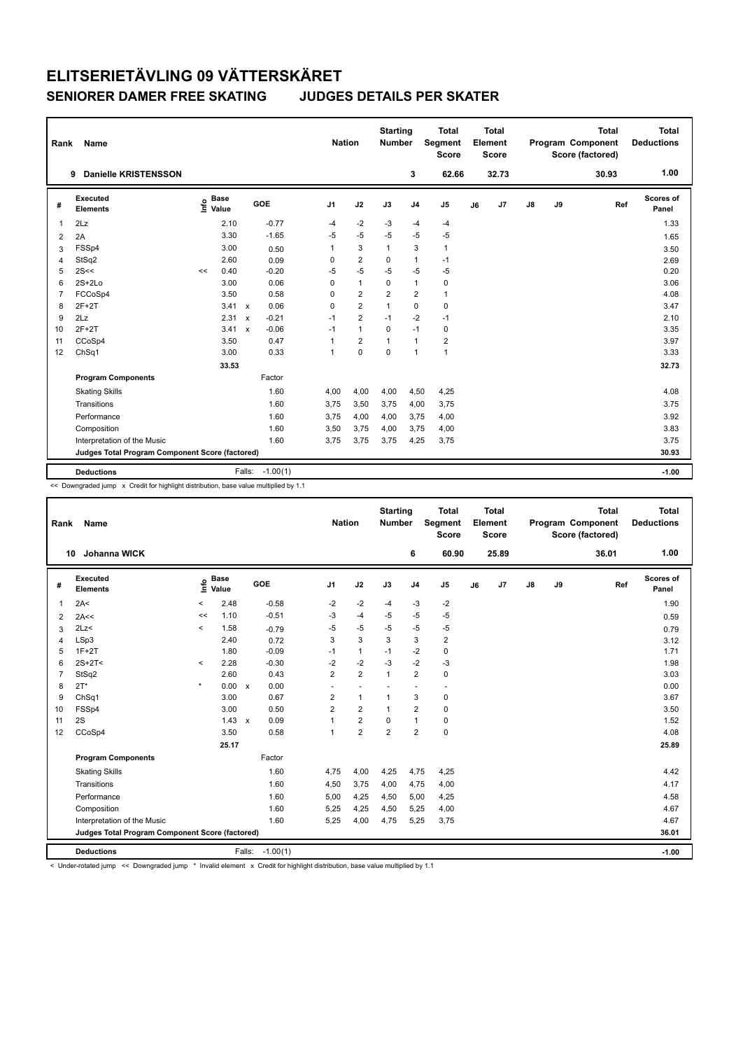| 1.00<br>3<br><b>Danielle KRISTENSSON</b><br>62.66<br>32.73<br>30.93<br>9<br>Scores of<br>Executed<br><b>Base</b><br>١nf٥<br>GOE<br>J <sub>1</sub><br>J2<br>J3<br>J <sub>4</sub><br>J <sub>5</sub><br>J7<br>$\mathsf{J}8$<br>J9<br>Ref<br>#<br>J6<br><b>Elements</b><br>Value<br>Panel<br>2.10<br>$-0.77$<br>$-2$<br>1.33<br>2Lz<br>-3<br>$\mathbf{1}$<br>$-4$<br>$-4$<br>$-4$<br>$-5$<br>$-5$<br>3.30<br>$-1.65$<br>$-5$<br>$-5$<br>$-5$<br>2A<br>1.65<br>2<br>FSSp4<br>3.00<br>3<br>3<br>$\mathbf{1}$<br>$\mathbf{1}$<br>1<br>0.50<br>3.50<br>3<br>$\overline{2}$<br>2.60<br>$\mathbf 0$<br>$\mathbf{1}$<br>StSq2<br>0<br>$-1$<br>0.09<br>2.69<br>4<br>$-5$<br>2S<<<br>$-5$<br>$-5$<br>$-5$<br>$-5$<br>0.20<br>5<br>$-0.20$<br>0.40<br><<<br>$\overline{1}$<br>$\mathbf{1}$<br>$2S+2Lo$<br>3.00<br>0.06<br>0<br>$\Omega$<br>0<br>3.06<br>6<br>$\overline{2}$<br>$\overline{2}$<br>$\overline{2}$<br>3.50<br>0.58<br>$\mathbf{1}$<br>4.08<br>$\overline{7}$<br>FCCoSp4<br>0<br>$\overline{2}$<br>$2F+2T$<br>0.06<br>$\mathbf 0$<br>$\mathbf 0$<br>3.47<br>8<br>$3.41 \times$<br>0<br>$\mathbf{1}$<br>$\overline{2}$<br>2.31<br>$-0.21$<br>$-2$<br>9<br>2Lz<br>$-1$<br>$-1$<br>$-1$<br>2.10<br>$\boldsymbol{\mathsf{x}}$<br>$2F+2T$<br>$-0.06$<br>$\mathbf{1}$<br>$\mathbf 0$<br>$-1$<br>$\mathbf 0$<br>3.35<br>3.41<br>$-1$<br>10<br>$\boldsymbol{\mathsf{x}}$<br>$\overline{2}$<br>$\mathbf{1}$<br>$\overline{2}$<br>3.50<br>0.47<br>3.97<br>CCoSp4<br>1<br>$\mathbf{1}$<br>11<br>$\Omega$<br>$\Omega$<br>$\mathbf{1}$<br>$\overline{1}$<br>3.33<br>ChSq1<br>3.00<br>0.33<br>12<br>1<br>32.73<br>33.53<br><b>Program Components</b><br>Factor<br>1.60<br>4,00<br>4,00<br>4,50<br>4,25<br>4.08<br><b>Skating Skills</b><br>4.00<br>Transitions<br>1.60<br>3,75<br>3,50<br>3.75<br>3,75<br>4,00<br>3,75<br>3.92<br>Performance<br>1.60<br>3,75<br>4,00<br>3,75<br>4,00<br>4,00<br>Composition<br>1.60<br>3,75<br>3.83<br>3,50<br>4,00<br>3,75<br>4,00<br>1.60<br>3,75<br>3.75<br>Interpretation of the Music<br>3,75<br>3,75<br>3,75<br>4,25 | Rank | Name |  |  | <b>Nation</b> | <b>Starting</b><br>Number | <b>Total</b><br>Segment<br><b>Score</b> | <b>Total</b><br>Element<br><b>Score</b> |  | <b>Total</b><br>Program Component<br>Score (factored) | <b>Total</b><br><b>Deductions</b> |
|---------------------------------------------------------------------------------------------------------------------------------------------------------------------------------------------------------------------------------------------------------------------------------------------------------------------------------------------------------------------------------------------------------------------------------------------------------------------------------------------------------------------------------------------------------------------------------------------------------------------------------------------------------------------------------------------------------------------------------------------------------------------------------------------------------------------------------------------------------------------------------------------------------------------------------------------------------------------------------------------------------------------------------------------------------------------------------------------------------------------------------------------------------------------------------------------------------------------------------------------------------------------------------------------------------------------------------------------------------------------------------------------------------------------------------------------------------------------------------------------------------------------------------------------------------------------------------------------------------------------------------------------------------------------------------------------------------------------------------------------------------------------------------------------------------------------------------------------------------------------------------------------------------------------------------------------------------------------------------------------------------------------------------------------|------|------|--|--|---------------|---------------------------|-----------------------------------------|-----------------------------------------|--|-------------------------------------------------------|-----------------------------------|
|                                                                                                                                                                                                                                                                                                                                                                                                                                                                                                                                                                                                                                                                                                                                                                                                                                                                                                                                                                                                                                                                                                                                                                                                                                                                                                                                                                                                                                                                                                                                                                                                                                                                                                                                                                                                                                                                                                                                                                                                                                             |      |      |  |  |               |                           |                                         |                                         |  |                                                       |                                   |
|                                                                                                                                                                                                                                                                                                                                                                                                                                                                                                                                                                                                                                                                                                                                                                                                                                                                                                                                                                                                                                                                                                                                                                                                                                                                                                                                                                                                                                                                                                                                                                                                                                                                                                                                                                                                                                                                                                                                                                                                                                             |      |      |  |  |               |                           |                                         |                                         |  |                                                       |                                   |
|                                                                                                                                                                                                                                                                                                                                                                                                                                                                                                                                                                                                                                                                                                                                                                                                                                                                                                                                                                                                                                                                                                                                                                                                                                                                                                                                                                                                                                                                                                                                                                                                                                                                                                                                                                                                                                                                                                                                                                                                                                             |      |      |  |  |               |                           |                                         |                                         |  |                                                       |                                   |
|                                                                                                                                                                                                                                                                                                                                                                                                                                                                                                                                                                                                                                                                                                                                                                                                                                                                                                                                                                                                                                                                                                                                                                                                                                                                                                                                                                                                                                                                                                                                                                                                                                                                                                                                                                                                                                                                                                                                                                                                                                             |      |      |  |  |               |                           |                                         |                                         |  |                                                       |                                   |
|                                                                                                                                                                                                                                                                                                                                                                                                                                                                                                                                                                                                                                                                                                                                                                                                                                                                                                                                                                                                                                                                                                                                                                                                                                                                                                                                                                                                                                                                                                                                                                                                                                                                                                                                                                                                                                                                                                                                                                                                                                             |      |      |  |  |               |                           |                                         |                                         |  |                                                       |                                   |
|                                                                                                                                                                                                                                                                                                                                                                                                                                                                                                                                                                                                                                                                                                                                                                                                                                                                                                                                                                                                                                                                                                                                                                                                                                                                                                                                                                                                                                                                                                                                                                                                                                                                                                                                                                                                                                                                                                                                                                                                                                             |      |      |  |  |               |                           |                                         |                                         |  |                                                       |                                   |
|                                                                                                                                                                                                                                                                                                                                                                                                                                                                                                                                                                                                                                                                                                                                                                                                                                                                                                                                                                                                                                                                                                                                                                                                                                                                                                                                                                                                                                                                                                                                                                                                                                                                                                                                                                                                                                                                                                                                                                                                                                             |      |      |  |  |               |                           |                                         |                                         |  |                                                       |                                   |
|                                                                                                                                                                                                                                                                                                                                                                                                                                                                                                                                                                                                                                                                                                                                                                                                                                                                                                                                                                                                                                                                                                                                                                                                                                                                                                                                                                                                                                                                                                                                                                                                                                                                                                                                                                                                                                                                                                                                                                                                                                             |      |      |  |  |               |                           |                                         |                                         |  |                                                       |                                   |
|                                                                                                                                                                                                                                                                                                                                                                                                                                                                                                                                                                                                                                                                                                                                                                                                                                                                                                                                                                                                                                                                                                                                                                                                                                                                                                                                                                                                                                                                                                                                                                                                                                                                                                                                                                                                                                                                                                                                                                                                                                             |      |      |  |  |               |                           |                                         |                                         |  |                                                       |                                   |
|                                                                                                                                                                                                                                                                                                                                                                                                                                                                                                                                                                                                                                                                                                                                                                                                                                                                                                                                                                                                                                                                                                                                                                                                                                                                                                                                                                                                                                                                                                                                                                                                                                                                                                                                                                                                                                                                                                                                                                                                                                             |      |      |  |  |               |                           |                                         |                                         |  |                                                       |                                   |
|                                                                                                                                                                                                                                                                                                                                                                                                                                                                                                                                                                                                                                                                                                                                                                                                                                                                                                                                                                                                                                                                                                                                                                                                                                                                                                                                                                                                                                                                                                                                                                                                                                                                                                                                                                                                                                                                                                                                                                                                                                             |      |      |  |  |               |                           |                                         |                                         |  |                                                       |                                   |
|                                                                                                                                                                                                                                                                                                                                                                                                                                                                                                                                                                                                                                                                                                                                                                                                                                                                                                                                                                                                                                                                                                                                                                                                                                                                                                                                                                                                                                                                                                                                                                                                                                                                                                                                                                                                                                                                                                                                                                                                                                             |      |      |  |  |               |                           |                                         |                                         |  |                                                       |                                   |
|                                                                                                                                                                                                                                                                                                                                                                                                                                                                                                                                                                                                                                                                                                                                                                                                                                                                                                                                                                                                                                                                                                                                                                                                                                                                                                                                                                                                                                                                                                                                                                                                                                                                                                                                                                                                                                                                                                                                                                                                                                             |      |      |  |  |               |                           |                                         |                                         |  |                                                       |                                   |
|                                                                                                                                                                                                                                                                                                                                                                                                                                                                                                                                                                                                                                                                                                                                                                                                                                                                                                                                                                                                                                                                                                                                                                                                                                                                                                                                                                                                                                                                                                                                                                                                                                                                                                                                                                                                                                                                                                                                                                                                                                             |      |      |  |  |               |                           |                                         |                                         |  |                                                       |                                   |
|                                                                                                                                                                                                                                                                                                                                                                                                                                                                                                                                                                                                                                                                                                                                                                                                                                                                                                                                                                                                                                                                                                                                                                                                                                                                                                                                                                                                                                                                                                                                                                                                                                                                                                                                                                                                                                                                                                                                                                                                                                             |      |      |  |  |               |                           |                                         |                                         |  |                                                       |                                   |
|                                                                                                                                                                                                                                                                                                                                                                                                                                                                                                                                                                                                                                                                                                                                                                                                                                                                                                                                                                                                                                                                                                                                                                                                                                                                                                                                                                                                                                                                                                                                                                                                                                                                                                                                                                                                                                                                                                                                                                                                                                             |      |      |  |  |               |                           |                                         |                                         |  |                                                       |                                   |
|                                                                                                                                                                                                                                                                                                                                                                                                                                                                                                                                                                                                                                                                                                                                                                                                                                                                                                                                                                                                                                                                                                                                                                                                                                                                                                                                                                                                                                                                                                                                                                                                                                                                                                                                                                                                                                                                                                                                                                                                                                             |      |      |  |  |               |                           |                                         |                                         |  |                                                       |                                   |
|                                                                                                                                                                                                                                                                                                                                                                                                                                                                                                                                                                                                                                                                                                                                                                                                                                                                                                                                                                                                                                                                                                                                                                                                                                                                                                                                                                                                                                                                                                                                                                                                                                                                                                                                                                                                                                                                                                                                                                                                                                             |      |      |  |  |               |                           |                                         |                                         |  |                                                       |                                   |
|                                                                                                                                                                                                                                                                                                                                                                                                                                                                                                                                                                                                                                                                                                                                                                                                                                                                                                                                                                                                                                                                                                                                                                                                                                                                                                                                                                                                                                                                                                                                                                                                                                                                                                                                                                                                                                                                                                                                                                                                                                             |      |      |  |  |               |                           |                                         |                                         |  |                                                       |                                   |
|                                                                                                                                                                                                                                                                                                                                                                                                                                                                                                                                                                                                                                                                                                                                                                                                                                                                                                                                                                                                                                                                                                                                                                                                                                                                                                                                                                                                                                                                                                                                                                                                                                                                                                                                                                                                                                                                                                                                                                                                                                             |      |      |  |  |               |                           |                                         |                                         |  |                                                       |                                   |
|                                                                                                                                                                                                                                                                                                                                                                                                                                                                                                                                                                                                                                                                                                                                                                                                                                                                                                                                                                                                                                                                                                                                                                                                                                                                                                                                                                                                                                                                                                                                                                                                                                                                                                                                                                                                                                                                                                                                                                                                                                             |      |      |  |  |               |                           |                                         |                                         |  |                                                       |                                   |
| Judges Total Program Component Score (factored)                                                                                                                                                                                                                                                                                                                                                                                                                                                                                                                                                                                                                                                                                                                                                                                                                                                                                                                                                                                                                                                                                                                                                                                                                                                                                                                                                                                                                                                                                                                                                                                                                                                                                                                                                                                                                                                                                                                                                                                             |      |      |  |  |               |                           |                                         |                                         |  |                                                       | 30.93                             |
| Falls: -1.00(1)<br><b>Deductions</b><br>$-1.00$                                                                                                                                                                                                                                                                                                                                                                                                                                                                                                                                                                                                                                                                                                                                                                                                                                                                                                                                                                                                                                                                                                                                                                                                                                                                                                                                                                                                                                                                                                                                                                                                                                                                                                                                                                                                                                                                                                                                                                                             |      |      |  |  |               |                           |                                         |                                         |  |                                                       |                                   |

<< Downgraded jump x Credit for highlight distribution, base value multiplied by 1.1

| Rank           | Name                                            |         |                      |              |            |                | <b>Nation</b>            | <b>Starting</b><br><b>Number</b> |                | <b>Total</b><br><b>Segment</b><br><b>Score</b> |    | <b>Total</b><br>Element<br>Score |               |    | <b>Total</b><br>Program Component<br>Score (factored) | <b>Total</b><br><b>Deductions</b> |
|----------------|-------------------------------------------------|---------|----------------------|--------------|------------|----------------|--------------------------|----------------------------------|----------------|------------------------------------------------|----|----------------------------------|---------------|----|-------------------------------------------------------|-----------------------------------|
| 10             | <b>Johanna WICK</b>                             |         |                      |              |            |                |                          |                                  | 6              | 60.90                                          |    | 25.89                            |               |    | 36.01                                                 | 1.00                              |
| #              | Executed<br><b>Elements</b>                     | lnfo    | <b>Base</b><br>Value | GOE          |            | J <sub>1</sub> | J2                       | J3                               | J <sub>4</sub> | J <sub>5</sub>                                 | J6 | J7                               | $\mathsf{J}8$ | J9 | Ref                                                   | <b>Scores of</b><br>Panel         |
| $\mathbf{1}$   | 2A<                                             | $\,<$   | 2.48                 |              | $-0.58$    | $-2$           | $-2$                     | $-4$                             | -3             | $-2$                                           |    |                                  |               |    |                                                       | 1.90                              |
| 2              | 2A<<                                            | <<      | 1.10                 |              | $-0.51$    | -3             | $-4$                     | $-5$                             | $-5$           | $-5$                                           |    |                                  |               |    |                                                       | 0.59                              |
| 3              | 2Lz<                                            | $\,<\,$ | 1.58                 |              | $-0.79$    | $-5$           | $-5$                     | $-5$                             | $-5$           | -5                                             |    |                                  |               |    |                                                       | 0.79                              |
| $\overline{4}$ | LSp3                                            |         | 2.40                 |              | 0.72       | 3              | 3                        | 3                                | 3              | $\overline{2}$                                 |    |                                  |               |    |                                                       | 3.12                              |
| 5              | $1F+2T$                                         |         | 1.80                 |              | $-0.09$    | $-1$           | $\mathbf{1}$             | $-1$                             | $-2$           | $\pmb{0}$                                      |    |                                  |               |    |                                                       | 1.71                              |
| 6              | $2S+2T2$                                        | $\,<\,$ | 2.28                 |              | $-0.30$    | $-2$           | $-2$                     | $-3$                             | $-2$           | -3                                             |    |                                  |               |    |                                                       | 1.98                              |
| $\overline{7}$ | StSq2                                           |         | 2.60                 |              | 0.43       | $\overline{2}$ | $\overline{2}$           | $\overline{1}$                   | $\overline{2}$ | $\mathbf 0$                                    |    |                                  |               |    |                                                       | 3.03                              |
| 8              | $2T^*$                                          | $\star$ | 0.00                 | $\mathsf{x}$ | 0.00       | ٠              | $\overline{\phantom{a}}$ |                                  | ٠              | ٠                                              |    |                                  |               |    |                                                       | 0.00                              |
| 9              | ChSq1                                           |         | 3.00                 |              | 0.67       | 2              | $\mathbf{1}$             | 1                                | 3              | 0                                              |    |                                  |               |    |                                                       | 3.67                              |
| 10             | FSSp4                                           |         | 3.00                 |              | 0.50       | $\overline{2}$ | $\overline{2}$           | 1                                | $\overline{2}$ | $\mathbf 0$                                    |    |                                  |               |    |                                                       | 3.50                              |
| 11             | 2S                                              |         | 1.43                 | $\mathsf{x}$ | 0.09       | 1              | $\overline{2}$           | 0                                | $\overline{1}$ | $\pmb{0}$                                      |    |                                  |               |    |                                                       | 1.52                              |
| 12             | CCoSp4                                          |         | 3.50                 |              | 0.58       | 1              | $\overline{2}$           | $\overline{2}$                   | $\overline{2}$ | $\mathbf 0$                                    |    |                                  |               |    |                                                       | 4.08                              |
|                |                                                 |         | 25.17                |              |            |                |                          |                                  |                |                                                |    |                                  |               |    |                                                       | 25.89                             |
|                | <b>Program Components</b>                       |         |                      |              | Factor     |                |                          |                                  |                |                                                |    |                                  |               |    |                                                       |                                   |
|                | <b>Skating Skills</b>                           |         |                      |              | 1.60       | 4,75           | 4,00                     | 4,25                             | 4,75           | 4,25                                           |    |                                  |               |    |                                                       | 4.42                              |
|                | Transitions                                     |         |                      |              | 1.60       | 4,50           | 3,75                     | 4,00                             | 4,75           | 4,00                                           |    |                                  |               |    |                                                       | 4.17                              |
|                | Performance                                     |         |                      |              | 1.60       | 5,00           | 4,25                     | 4,50                             | 5,00           | 4,25                                           |    |                                  |               |    |                                                       | 4.58                              |
|                | Composition                                     |         |                      |              | 1.60       | 5,25           | 4,25                     | 4,50                             | 5,25           | 4,00                                           |    |                                  |               |    |                                                       | 4.67                              |
|                | Interpretation of the Music                     |         |                      |              | 1.60       | 5,25           | 4,00                     | 4,75                             | 5,25           | 3,75                                           |    |                                  |               |    |                                                       | 4.67                              |
|                | Judges Total Program Component Score (factored) |         |                      |              |            |                |                          |                                  |                |                                                |    |                                  |               |    |                                                       | 36.01                             |
|                | <b>Deductions</b>                               |         |                      | Falls:       | $-1.00(1)$ |                |                          |                                  |                |                                                |    |                                  |               |    |                                                       | $-1.00$                           |

< Under-rotated jump << Downgraded jump \* Invalid element x Credit for highlight distribution, base value multiplied by 1.1